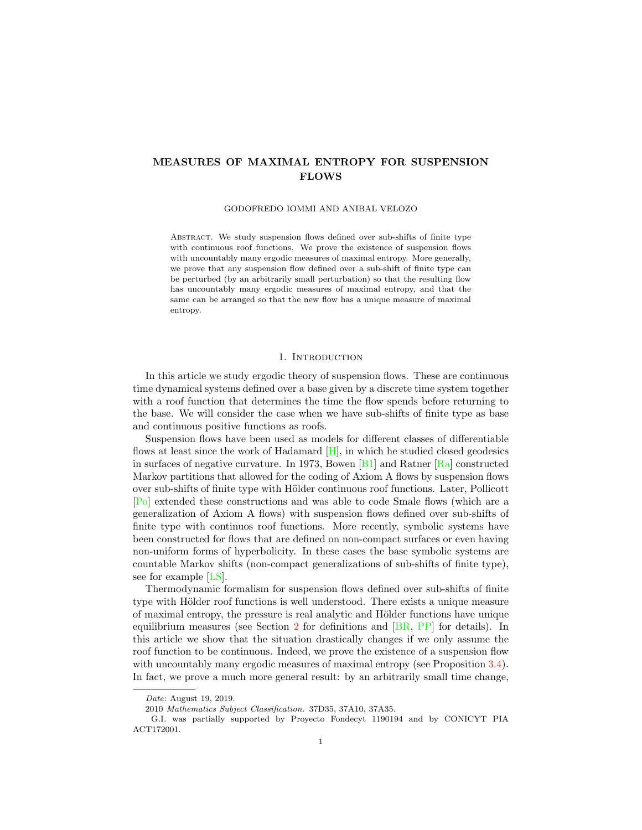# <span id="page-0-0"></span>MEASURES OF MAXIMAL ENTROPY FOR SUSPENSION FLOWS

# GODOFREDO IOMMI AND ANIBAL VELOZO

ABSTRACT. We study suspension flows defined over sub-shifts of finite type with continuous roof functions. We prove the existence of suspension flows with uncountably many ergodic measures of maximal entropy. More generally, we prove that any suspension flow defined over a sub-shift of finite type can be perturbed (by an arbitrarily small perturbation) so that the resulting flow has uncountably many ergodic measures of maximal entropy, and that the same can be arranged so that the new flow has a unique measure of maximal entropy.

# 1. INTRODUCTION

In this article we study ergodic theory of suspension flows. These are continuous time dynamical systems defined over a base given by a discrete time system together with a roof function that determines the time the flow spends before returning to the base. We will consider the case when we have sub-shifts of finite type as base and continuous positive functions as roofs.

Suspension flows have been used as models for different classes of differentiable flows at least since the work of Hadamard [\[H\]](#page-9-0), in which he studied closed geodesics in surfaces of negative curvature. In 1973, Bowen [\[B1\]](#page-8-0) and Ratner [\[Ra\]](#page-9-1) constructed Markov partitions that allowed for the coding of Axiom A flows by suspension flows over sub-shifts of finite type with Hölder continuous roof functions. Later, Pollicott [\[Po\]](#page-9-2) extended these constructions and was able to code Smale flows (which are a generalization of Axiom A flows) with suspension flows defined over sub-shifts of finite type with continuos roof functions. More recently, symbolic systems have been constructed for flows that are defined on non-compact surfaces or even having non-uniform forms of hyperbolicity. In these cases the base symbolic systems are countable Markov shifts (non-compact generalizations of sub-shifts of finite type), see for example [\[LS\]](#page-9-3).

Thermodynamic formalism for suspension flows defined over sub-shifts of finite type with Hölder roof functions is well understood. There exists a unique measure of maximal entropy, the pressure is real analytic and H¨older functions have unique equilibrium measures (see Section [2](#page-2-0) for definitions and [\[BR,](#page-8-1) [PP\]](#page-9-4) for details). In this article we show that the situation drastically changes if we only assume the roof function to be continuous. Indeed, we prove the existence of a suspension flow with uncountably many ergodic measures of maximal entropy (see Proposition [3.4\)](#page-5-0). In fact, we prove a much more general result: by an arbitrarily small time change,

Date: August 19, 2019.

<sup>2010</sup> Mathematics Subject Classification. 37D35, 37A10, 37A35.

G.I. was partially supported by Proyecto Fondecyt 1190194 and by CONICYT PIA ACT172001.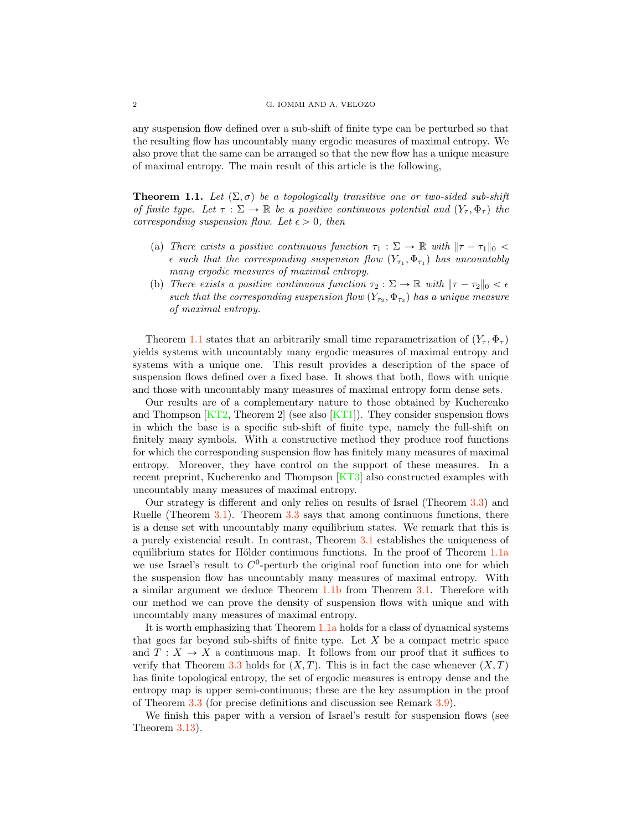#### <span id="page-1-3"></span>2 G. IOMMI AND A. VELOZO

any suspension flow defined over a sub-shift of finite type can be perturbed so that the resulting flow has uncountably many ergodic measures of maximal entropy. We also prove that the same can be arranged so that the new flow has a unique measure of maximal entropy. The main result of this article is the following,

<span id="page-1-0"></span>**Theorem 1.1.** Let  $(\Sigma, \sigma)$  be a topologically transitive one or two-sided sub-shift *of finite type. Let*  $\tau : \Sigma \to \mathbb{R}$  *be a positive continuous potential and*  $(Y_\tau, \Phi_\tau)$  *the corresponding suspension flow. Let*  $\epsilon > 0$ *, then* 

- <span id="page-1-1"></span>(a) *There exists a positive continuous function*  $\tau_1 : \Sigma \to \mathbb{R}$  with  $\|\tau - \tau_1\|_0 <$  $\epsilon$  *such that the corresponding suspension flow*  $(Y_{\tau_1}, \Phi_{\tau_1})$  *has uncountably many ergodic measures of maximal entropy.*
- <span id="page-1-2"></span>(b) *There exists a positive continuous function*  $\tau_2 : \Sigma \to \mathbb{R}$  *with*  $|\tau - \tau_2|_0 < \epsilon$ *such that the corresponding suspension flow*  $(Y_{\tau_2}, \Phi_{\tau_2})$  *has a unique measure of maximal entropy.*

Theorem [1.1](#page-1-0) states that an arbitrarily small time reparametrization of  $(Y_\tau, \Phi_\tau)$ yields systems with uncountably many ergodic measures of maximal entropy and systems with a unique one. This result provides a description of the space of suspension flows defined over a fixed base. It shows that both, flows with unique and those with uncountably many measures of maximal entropy form dense sets.

Our results are of a complementary nature to those obtained by Kucherenko and Thompson  $\overline{KT2}$ , Theorem 2 (see also  $\overline{KT1}$ ). They consider suspension flows in which the base is a specific sub-shift of finite type, namely the full-shift on finitely many symbols. With a constructive method they produce roof functions for which the corresponding suspension flow has finitely many measures of maximal entropy. Moreover, they have control on the support of these measures. In a recent preprint, Kucherenko and Thompson [\[KT3\]](#page-9-7) also constructed examples with uncountably many measures of maximal entropy.

Our strategy is different and only relies on results of Israel (Theorem [3.3\)](#page-5-1) and Ruelle (Theorem [3.1\)](#page-4-0). Theorem [3.3](#page-5-1) says that among continuous functions, there is a dense set with uncountably many equilibrium states. We remark that this is a purely existencial result. In contrast, Theorem [3.1](#page-4-0) establishes the uniqueness of equilibrium st[a](#page-1-1)tes for Hölder continuous functions. In the proof of Theorem  $1.1a$  $1.1a$ we use Israel's result to  $C^0$ -perturb the original roof function into one for which the suspension flow has uncountably many measures of maximal entropy. With a similar argument we deduce Theorem [1.1](#page-1-0)[b](#page-1-2) from Theorem [3.1.](#page-4-0) Therefore with our method we can prove the density of suspension flows with unique and with uncountably many measures of maximal entropy.

It is worth emphasizing that Theorem [1.1](#page-1-0)[a](#page-1-1) holds for a class of dynamical systems that goes far beyond sub-shifts of finite type. Let  $X$  be a compact metric space and  $T : X \to X$  a continuous map. It follows from our proof that it suffices to verify that Theorem [3.3](#page-5-1) holds for  $(X, T)$ . This is in fact the case whenever  $(X, T)$ has finite topological entropy, the set of ergodic measures is entropy dense and the entropy map is upper semi-continuous; these are the key assumption in the proof of Theorem [3.3](#page-5-1) (for precise definitions and discussion see Remark [3.9\)](#page-7-0).

We finish this paper with a version of Israel's result for suspension flows (see Theorem [3.13\)](#page-8-2).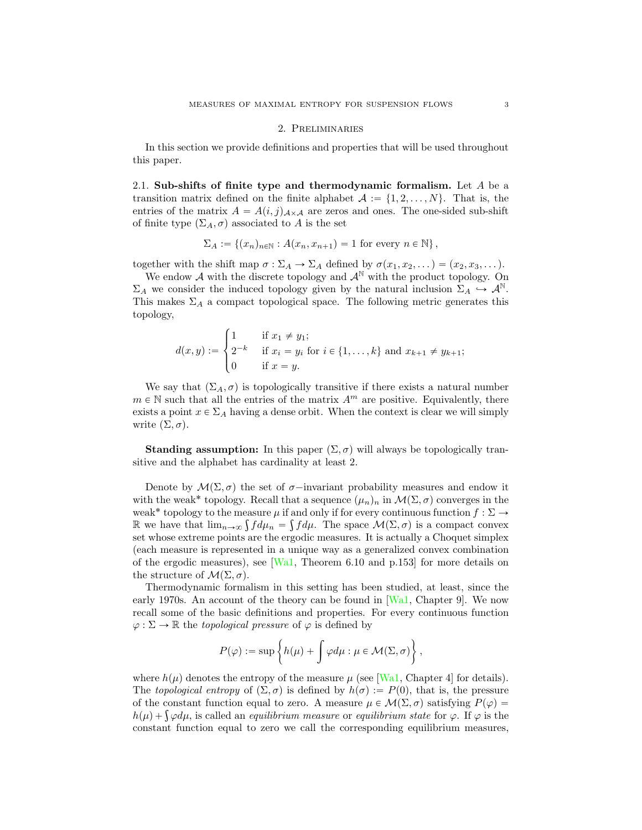#### 2. Preliminaries

<span id="page-2-1"></span><span id="page-2-0"></span>In this section we provide definitions and properties that will be used throughout this paper.

2.1. Sub-shifts of finite type and thermodynamic formalism. Let  $A$  be a transition matrix defined on the finite alphabet  $A := \{1, 2, ..., N\}$ . That is, the entries of the matrix  $A = A(i, j)_{A \times A}$  are zeros and ones. The one-sided sub-shift of finite type  $(\Sigma_A, \sigma)$  associated to A is the set

$$
\Sigma_A := \{(x_n)_{n \in \mathbb{N}} : A(x_n, x_{n+1}) = 1 \text{ for every } n \in \mathbb{N}\},
$$

together with the shift map  $\sigma : \Sigma_A \to \Sigma_A$  defined by  $\sigma(x_1, x_2, \dots) = (x_2, x_3, \dots)$ .

We endow  $A$  with the discrete topology and  $A^{\mathbb{N}}$  with the product topology. On  $\Sigma_A$  we consider the induced topology given by the natural inclusion  $\Sigma_A \hookrightarrow \mathcal{A}^{\mathbb{N}}$ . This makes  $\Sigma_A$  a compact topological space. The following metric generates this topology,

$$
d(x,y) := \begin{cases} 1 & \text{if } x_1 \neq y_1; \\ 2^{-k} & \text{if } x_i = y_i \text{ for } i \in \{1, \dots, k\} \text{ and } x_{k+1} \neq y_{k+1}; \\ 0 & \text{if } x = y. \end{cases}
$$

We say that  $(\Sigma_A, \sigma)$  is topologically transitive if there exists a natural number  $m \in \mathbb{N}$  such that all the entries of the matrix  $A<sup>m</sup>$  are positive. Equivalently, there exists a point  $x \in \Sigma_A$  having a dense orbit. When the context is clear we will simply write  $(\Sigma, \sigma)$ .

**Standing assumption:** In this paper  $(\Sigma, \sigma)$  will always be topologically transitive and the alphabet has cardinality at least 2.

Denote by  $\mathcal{M}(\Sigma, \sigma)$  the set of  $\sigma$ -invariant probability measures and endow it with the weak<sup>\*</sup> topology. Recall that a sequence  $(\mu_n)_n$  in  $\mathcal{M}(\Sigma, \sigma)$  converges in the weak<sup>\*</sup> topology to the measure  $\mu$  if and only if for every continuous function  $f : \Sigma \to$ R we have that  $\lim_{n\to\infty} \int f d\mu_n = \int f d\mu$ . The space  $\mathcal{M}(\Sigma, \sigma)$  is a compact convex set whose extreme points are the ergodic measures. It is actually a Choquet simplex (each measure is represented in a unique way as a generalized convex combination of the ergodic measures), see  $[Wa1,$  Theorem 6.10 and p.153 for more details on the structure of  $\mathcal{M}(\Sigma, \sigma)$ .

Thermodynamic formalism in this setting has been studied, at least, since the early 1970s. An account of the theory can be found in [\[Wa1,](#page-9-8) Chapter 9]. We now recall some of the basic definitions and properties. For every continuous function  $\varphi : \Sigma \to \mathbb{R}$  the *topological pressure* of  $\varphi$  is defined by

$$
P(\varphi):=\sup\left\{h(\mu)+\int\varphi d\mu:\mu\in\mathcal{M}(\Sigma,\sigma)\right\},
$$

where  $h(\mu)$  denotes the entropy of the measure  $\mu$  (see [\[Wa1,](#page-9-8) Chapter 4] for details). The *topological entropy* of  $(\Sigma, \sigma)$  is defined by  $h(\sigma) := P(0)$ , that is, the pressure of the constant function equal to zero. A measure  $\mu \in \mathcal{M}(\Sigma, \sigma)$  satisfying  $P(\varphi)$  =  $h(\mu) + \int \varphi d\mu$ , is called an *equilibrium measure* or *equilibrium state* for  $\varphi$ . If  $\varphi$  is the constant function equal to zero we call the corresponding equilibrium measures,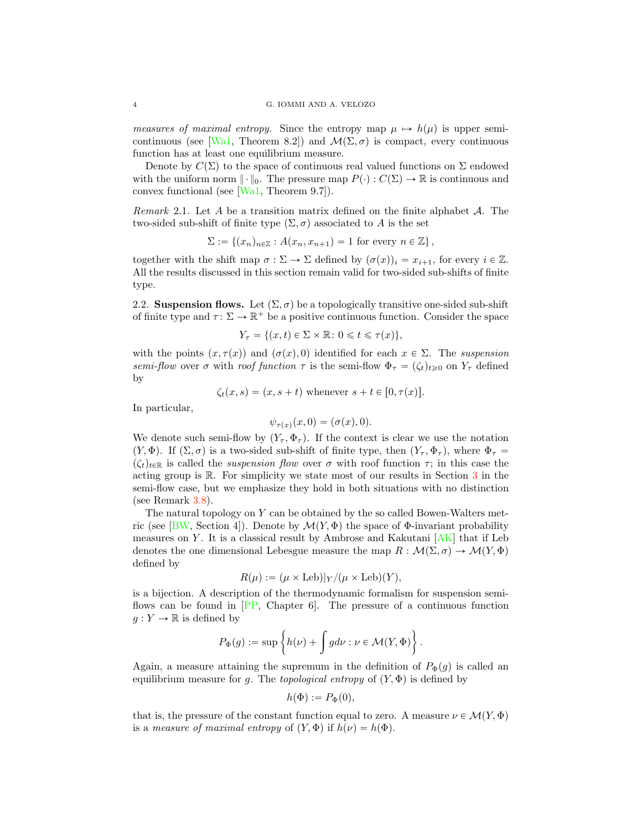<span id="page-3-0"></span>*measures of maximal entropy*. Since the entropy map  $\mu \mapsto h(\mu)$  is upper semi-continuous (see [\[Wa1,](#page-9-8) Theorem 8.2]) and  $\mathcal{M}(\Sigma, \sigma)$  is compact, every continuous function has at least one equilibrium measure.

Denote by  $C(\Sigma)$  to the space of continuous real valued functions on  $\Sigma$  endowed with the uniform norm  $\|\cdot\|_0$ . The pressure map  $P(\cdot): C(\Sigma) \to \mathbb{R}$  is continuous and convex functional (see [\[Wa1,](#page-9-8) Theorem 9.7]).

*Remark* 2.1*.* Let A be a transition matrix defined on the finite alphabet *A*. The two-sided sub-shift of finite type  $(\Sigma, \sigma)$  associated to A is the set

$$
\Sigma := \{(x_n)_{n \in \mathbb{Z}} : A(x_n, x_{n+1}) = 1 \text{ for every } n \in \mathbb{Z}\},\
$$

together with the shift map  $\sigma : \Sigma \to \Sigma$  defined by  $(\sigma(x))_i = x_{i+1}$ , for every  $i \in \mathbb{Z}$ . All the results discussed in this section remain valid for two-sided sub-shifts of finite type.

2.2. Suspension flows. Let  $(\Sigma, \sigma)$  be a topologically transitive one-sided sub-shift of finite type and  $\tau : \Sigma \to \mathbb{R}^+$  be a positive continuous function. Consider the space

$$
Y_{\tau} = \{(x, t) \in \Sigma \times \mathbb{R} : 0 \leq t \leq \tau(x)\},\
$$

with the points  $(x, \tau(x))$  and  $(\sigma(x), 0)$  identified for each  $x \in \Sigma$ . The *suspension semi-flow* over  $\sigma$  with *roof function*  $\tau$  is the semi-flow  $\Phi_{\tau} = (\zeta_t)_{t \geq 0}$  on  $Y_{\tau}$  defined by

$$
\zeta_t(x,s) = (x,s+t)
$$
 whenever  $s+t \in [0,\tau(x)].$ 

In particular,

$$
\psi_{\tau(x)}(x,0)=(\sigma(x),0).
$$

We denote such semi-flow by  $(Y_\tau, \Phi_\tau)$ . If the context is clear we use the notation  $(Y, \Phi)$ . If  $(\Sigma, \sigma)$  is a two-sided sub-shift of finite type, then  $(Y_\tau, \Phi_\tau)$ , where  $\Phi_\tau =$  $(\zeta_t)_{t\in\mathbb{R}}$  is called the *suspension flow* over  $\sigma$  with roof function  $\tau$ ; in this case the acting group is R. For simplicity we state most of our results in Section [3](#page-4-1) in the semi-flow case, but we emphasize they hold in both situations with no distinction (see Remark [3.8\)](#page-6-0).

The natural topology on Y can be obtained by the so called Bowen-Walters met-ric (see [\[BW,](#page-8-3) Section 4]). Denote by  $\mathcal{M}(Y, \Phi)$  the space of  $\Phi$ -invariant probability measures on Y. It is a classical result by Ambrose and Kakutani  $[AK]$  that if Leb denotes the one dimensional Lebesgue measure the map  $R : \mathcal{M}(\Sigma, \sigma) \to \mathcal{M}(Y, \Phi)$ defined by

$$
R(\mu) := (\mu \times \text{Leb})|_Y/(\mu \times \text{Leb})(Y),
$$

is a bijection. A description of the thermodynamic formalism for suspension semiflows can be found in [\[PP,](#page-9-4) Chapter 6]. The pressure of a continuous function  $g: Y \to \mathbb{R}$  is defined by

$$
P_{\Phi}(g):=\sup\left\{h(\nu)+\int g d\nu: \nu\in \mathcal{M}(Y,\Phi)\right\}.
$$

Again, a measure attaining the supremum in the definition of  $P_{\Phi}(q)$  is called an equilibrium measure for g. The *topological entropy* of  $(Y, \Phi)$  is defined by

$$
h(\Phi) := P_{\Phi}(0),
$$

that is, the pressure of the constant function equal to zero. A measure  $\nu \in \mathcal{M}(Y, \Phi)$ is a *measure of maximal entropy* of  $(Y, \Phi)$  if  $h(\nu) = h(\Phi)$ .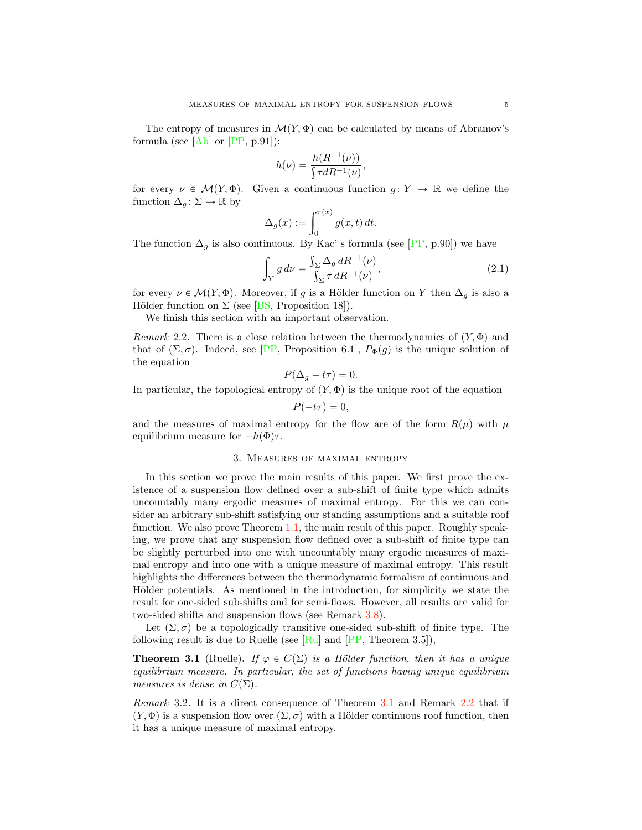<span id="page-4-3"></span>The entropy of measures in  $\mathcal{M}(Y, \Phi)$  can be calculated by means of Abramov's formula (see  $[Ab]$  or  $[PP, p.91]$  $[PP, p.91]$ ):

$$
h(\nu) = \frac{h(R^{-1}(\nu))}{\int \tau dR^{-1}(\nu)},
$$

for every  $\nu \in \mathcal{M}(Y, \Phi)$ . Given a continuous function  $g: Y \to \mathbb{R}$  we define the function  $\Delta_g : \Sigma \to \mathbb{R}$  by

$$
\Delta_g(x) := \int_0^{\tau(x)} g(x, t) dt.
$$

The function  $\Delta_q$  is also continuous. By Kac' s formula (see [\[PP,](#page-9-4) p.90]) we have

$$
\int_{Y} g d\nu = \frac{\int_{\Sigma} \Delta_g dR^{-1}(\nu)}{\int_{\Sigma} \tau dR^{-1}(\nu)},
$$
\n(2.1)

for every  $\nu \in \mathcal{M}(Y, \Phi)$ . Moreover, if g is a Hölder function on Y then  $\Delta_g$  is also a Hölder function on  $\Sigma$  (see [\[BS,](#page-8-6) Proposition 18]).

We finish this section with an important observation.

<span id="page-4-2"></span>*Remark* 2.2. There is a close relation between the thermodynamics of  $(Y, \Phi)$  and that of  $(\Sigma, \sigma)$ . Indeed, see [\[PP,](#page-9-4) Proposition 6.1],  $P_{\Phi}(g)$  is the unique solution of the equation

$$
P(\Delta_g - t\tau) = 0.
$$

In particular, the topological entropy of  $(Y, \Phi)$  is the unique root of the equation

$$
P(-t\tau)=0,
$$

and the measures of maximal entropy for the flow are of the form  $R(\mu)$  with  $\mu$ equilibrium measure for  $-h(\Phi)\tau$ .

## 3. Measures of maximal entropy

<span id="page-4-1"></span>In this section we prove the main results of this paper. We first prove the existence of a suspension flow defined over a sub-shift of finite type which admits uncountably many ergodic measures of maximal entropy. For this we can consider an arbitrary sub-shift satisfying our standing assumptions and a suitable roof function. We also prove Theorem [1.1,](#page-1-0) the main result of this paper. Roughly speaking, we prove that any suspension flow defined over a sub-shift of finite type can be slightly perturbed into one with uncountably many ergodic measures of maximal entropy and into one with a unique measure of maximal entropy. This result highlights the differences between the thermodynamic formalism of continuous and Hölder potentials. As mentioned in the introduction, for simplicity we state the result for one-sided sub-shifts and for semi-flows. However, all results are valid for two-sided shifts and suspension flows (see Remark [3.8\)](#page-6-0).

Let  $(\Sigma, \sigma)$  be a topologically transitive one-sided sub-shift of finite type. The following result is due to Ruelle (see  $\lbrack \text{Ru} \rbrack$  and  $\lbrack \text{PP}, \text{Theorem 3.5} \rbrack$ ),

<span id="page-4-0"></span>**Theorem 3.1** (Ruelle). *If*  $\varphi \in C(\Sigma)$  *is a Hölder function, then it has a unique equilibrium measure. In particular, the set of functions having unique equilibrium measures is dense in*  $C(\Sigma)$ *.* 

*Remark* 3.2*.* It is a direct consequence of Theorem [3.1](#page-4-0) and Remark [2.2](#page-4-2) that if  $(Y, \Phi)$  is a suspension flow over  $(\Sigma, \sigma)$  with a Hölder continuous roof function, then it has a unique measure of maximal entropy.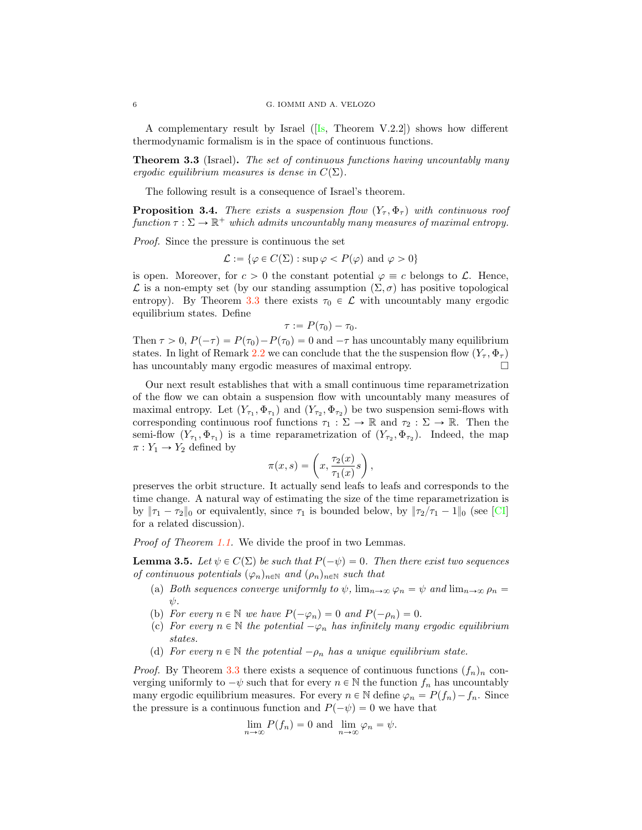A complementary result by Israel  $([Is, Theorem V.2.2])$  $([Is, Theorem V.2.2])$  $([Is, Theorem V.2.2])$  shows how different thermodynamic formalism is in the space of continuous functions.

<span id="page-5-1"></span>Theorem 3.3 (Israel). *The set of continuous functions having uncountably many ergodic equilibrium measures is dense in*  $C(\Sigma)$ *.* 

The following result is a consequence of Israel's theorem.

<span id="page-5-0"></span>**Proposition 3.4.** *There exists a suspension flow*  $(Y_\tau, \Phi_\tau)$  *with continuous roof function*  $\tau : \Sigma \to \mathbb{R}^+$  *which admits uncountably many measures of maximal entropy.* 

*Proof.* Since the pressure is continuous the set

 $\mathcal{L} := \{ \varphi \in C(\Sigma) : \sup \varphi < P(\varphi) \text{ and } \varphi > 0 \}$ 

is open. Moreover, for  $c > 0$  the constant potential  $\varphi \equiv c$  belongs to  $\mathcal{L}$ . Hence,  $\mathcal L$  is a non-empty set (by our standing assumption  $(\Sigma, \sigma)$  has positive topological entropy). By Theorem [3.3](#page-5-1) there exists  $\tau_0 \in \mathcal{L}$  with uncountably many ergodic equilibrium states. Define

$$
\tau := P(\tau_0) - \tau_0.
$$

Then  $\tau > 0$ ,  $P(-\tau) = P(\tau_0) - P(\tau_0) = 0$  and  $-\tau$  has uncountably many equilibrium states. In light of Remark [2.2](#page-4-2) we can conclude that the the suspension flow  $(Y_\tau, \Phi_\tau)$  has uncountably many ergodic measures of maximal entropy. has uncountably many ergodic measures of maximal entropy.

Our next result establishes that with a small continuous time reparametrization of the flow we can obtain a suspension flow with uncountably many measures of maximal entropy. Let  $(Y_{\tau_1}, \Phi_{\tau_1})$  and  $(Y_{\tau_2}, \Phi_{\tau_2})$  be two suspension semi-flows with corresponding continuous roof functions  $\tau_1 : \Sigma \to \mathbb{R}$  and  $\tau_2 : \Sigma \to \mathbb{R}$ . Then the semi-flow  $(Y_{\tau_1}, \Phi_{\tau_1})$  is a time reparametrization of  $(Y_{\tau_2}, \Phi_{\tau_2})$ . Indeed, the map  $\pi: Y_1 \to Y_2$  defined by

$$
\pi(x,s) = \left(x, \frac{\tau_2(x)}{\tau_1(x)}s\right),
$$

preserves the orbit structure. It actually send leafs to leafs and corresponds to the time change. A natural way of estimating the size of the time reparametrization is by  $\|\tau_1 - \tau_2\|_0$  or equivalently, since  $\tau_1$  is bounded below, by  $\|\tau_2/\tau_1 - 1\|_0$  (see [\[CI\]](#page-9-11) for a related discussion).

*Proof of Theorem [1.1.](#page-1-0)* We divide the proof in two Lemmas.

<span id="page-5-2"></span>**Lemma 3.5.** Let  $\psi \in C(\Sigma)$  be such that  $P(-\psi) = 0$ . Then there exist two sequences *of continuous potentials*  $(\varphi_n)_{n\in\mathbb{N}}$  *and*  $(\rho_n)_{n\in\mathbb{N}}$  *such that* 

- (a) *Both sequences converge uniformly to*  $\psi$ ,  $\lim_{n\to\infty} \varphi_n = \psi$  and  $\lim_{n\to\infty} \varphi_n =$ ψ*.*
- (b) *For every*  $n \in \mathbb{N}$  *we have*  $P(-\varphi_n) = 0$  *and*  $P(-\rho_n) = 0$ .
- (c) *For every*  $n \in \mathbb{N}$  *the potential*  $-\varphi_n$  *has infinitely many ergodic equilibrium states.*
- (d) *For every*  $n \in \mathbb{N}$  *the potential*  $-\rho_n$  *has a unique equilibrium state.*

*Proof.* By Theorem [3.3](#page-5-1) there exists a sequence of continuous functions  $(f_n)_n$  converging uniformly to  $-\psi$  such that for every  $n \in \mathbb{N}$  the function  $f_n$  has uncountably many ergodic equilibrium measures. For every  $n \in \mathbb{N}$  define  $\varphi_n = P(f_n) - f_n$ . Since the pressure is a continuous function and  $P(-\psi) = 0$  we have that

$$
\lim_{n \to \infty} P(f_n) = 0 \text{ and } \lim_{n \to \infty} \varphi_n = \psi.
$$

<span id="page-5-3"></span>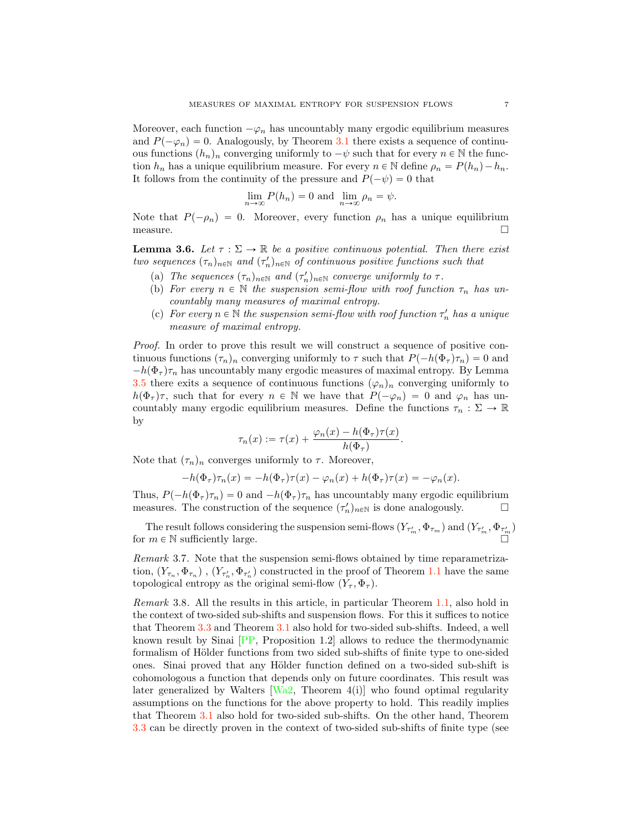<span id="page-6-1"></span>Moreover, each function  $-\varphi_n$  has uncountably many ergodic equilibrium measures and  $P(-\varphi_n) = 0$ . Analogously, by Theorem [3.1](#page-4-0) there exists a sequence of continuous functions  $(h_n)_n$  converging uniformly to  $-\psi$  such that for every  $n \in \mathbb{N}$  the function  $h_n$  has a unique equilibrium measure. For every  $n \in \mathbb{N}$  define  $\rho_n = P(h_n) - h_n$ . It follows from the continuity of the pressure and  $P(-\psi) = 0$  that

$$
\lim_{n \to \infty} P(h_n) = 0 \text{ and } \lim_{n \to \infty} \rho_n = \psi.
$$

Note that  $P(-\rho_n) = 0$ . Moreover, every function  $\rho_n$  has a unique equilibrium measure. measure.  $\Box$ 

**Lemma 3.6.** Let  $\tau : \Sigma \to \mathbb{R}$  be a positive continuous potential. Then there exist *two sequences*  $(\tau_n)_{n \in \mathbb{N}}$  *and*  $(\tau'_n)_{n \in \mathbb{N}}$  *of continuous positive functions such that* 

- (a) *The sequences*  $(\tau_n)_{n \in \mathbb{N}}$  *and*  $(\tau'_n)_{n \in \mathbb{N}}$  *converge uniformly to*  $\tau$ *.*
- (b) *For every*  $n \in \mathbb{N}$  *the suspension semi-flow with roof function*  $\tau_n$  *has uncountably many measures of maximal entropy.*
- (c) *For every*  $n \in \mathbb{N}$  *the suspension semi-flow with roof function*  $\tau'_n$  *has a unique measure of maximal entropy.*

*Proof.* In order to prove this result we will construct a sequence of positive continuous functions  $(\tau_n)_n$  converging uniformly to  $\tau$  such that  $P(-h(\Phi_\tau)\tau_n)=0$  and  $-h(\Phi_{\tau})\tau_n$  has uncountably many ergodic measures of maximal entropy. By Lemma [3.5](#page-5-2) there exits a sequence of continuous functions  $(\varphi_n)_n$  converging uniformly to  $h(\Phi_{\tau})\tau$ , such that for every  $n \in \mathbb{N}$  we have that  $P(-\varphi_n) = 0$  and  $\varphi_n$  has uncountably many ergodic equilibrium measures. Define the functions  $\tau_n : \Sigma \to \mathbb{R}$ by

$$
\tau_n(x) := \tau(x) + \frac{\varphi_n(x) - h(\Phi_\tau)\tau(x)}{h(\Phi_\tau)}.
$$

Note that  $(\tau_n)_n$  converges uniformly to  $\tau$ . Moreover,

$$
-h(\Phi_{\tau})\tau_n(x) = -h(\Phi_{\tau})\tau(x) - \varphi_n(x) + h(\Phi_{\tau})\tau(x) = -\varphi_n(x).
$$

Thus,  $P(-h(\Phi_\tau)\tau_n) = 0$  and  $-h(\Phi_\tau)\tau_n$  has uncountably many ergodic equilibrium measures. The construction of the sequence  $(\tau')_{n \in \mathbb{N}}$  is done analogously. measures. The construction of the sequence  $(\tau'_n)_{n\in\mathbb{N}}$  is done analogously.  $\Box$ 

The result follows considering the suspension semi-flows  $(Y_{\tau_m'}, \Phi_{\tau_m})$  and  $(Y_{\tau_m'}, \Phi_{\tau_m'})$ for  $m \in \mathbb{N}$  sufficiently large.

*Remark* 3.7*.* Note that the suspension semi-flows obtained by time reparametrization,  $(Y_{\tau_n}, \Phi_{\tau_n})$ ,  $(Y_{\tau'_n}, \Phi_{\tau'_n})$  constructed in the proof of Theorem [1.1](#page-1-0) have the same topological entropy as the original semi-flow  $(Y_\tau, \Phi_\tau)$ .

<span id="page-6-0"></span>*Remark* 3.8. All the results in this article, in particular Theorem [1.1,](#page-1-0) also hold in the context of two-sided sub-shifts and suspension flows. For this it suffices to notice that Theorem [3.3](#page-5-1) and Theorem [3.1](#page-4-0) also hold for two-sided sub-shifts. Indeed, a well known result by Sinai [\[PP,](#page-9-4) Proposition 1.2] allows to reduce the thermodynamic formalism of Hölder functions from two sided sub-shifts of finite type to one-sided ones. Sinai proved that any Hölder function defined on a two-sided sub-shift is cohomologous a function that depends only on future coordinates. This result was later generalized by Walters  $Wa2$ , Theorem 4(i)] who found optimal regularity assumptions on the functions for the above property to hold. This readily implies that Theorem [3.1](#page-4-0) also hold for two-sided sub-shifts. On the other hand, Theorem [3.3](#page-5-1) can be directly proven in the context of two-sided sub-shifts of finite type (see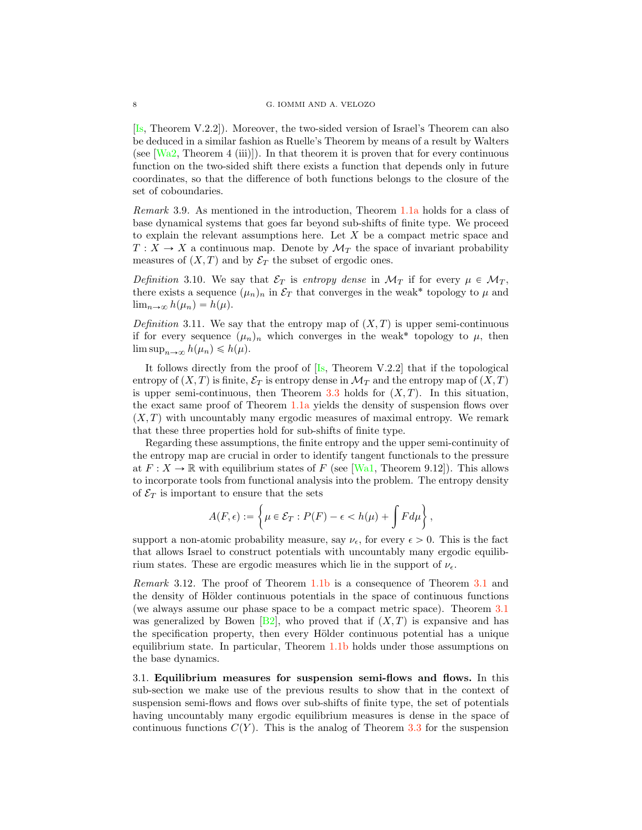<span id="page-7-1"></span>[\[Is,](#page-9-10) Theorem V.2.2]). Moreover, the two-sided version of Israel's Theorem can also be deduced in a similar fashion as Ruelle's Theorem by means of a result by Walters (see  $\text{[Wa2, Theorem 4 (iii)]}$  $\text{[Wa2, Theorem 4 (iii)]}$  $\text{[Wa2, Theorem 4 (iii)]}$ ). In that theorem it is proven that for every continuous function on the two-sided shift there exists a function that depends only in future coordinates, so that the difference of both functions belongs to the closure of the set of coboundaries.

<span id="page-7-0"></span>*Remark* 3.9*.* As mentioned in the introduction, Theorem [1.1](#page-1-0)[a](#page-1-1) holds for a class of base dynamical systems that goes far beyond sub-shifts of finite type. We proceed to explain the relevant assumptions here. Let  $X$  be a compact metric space and  $T : X \to X$  a continuous map. Denote by  $\mathcal{M}_T$  the space of invariant probability measures of  $(X, T)$  and by  $\mathcal{E}_T$  the subset of ergodic ones.

*Definition* 3.10. We say that  $\mathcal{E}_T$  is *entropy dense* in  $\mathcal{M}_T$  if for every  $\mu \in \mathcal{M}_T$ , there exists a sequence  $(\mu_n)_n$  in  $\mathcal{E}_T$  that converges in the weak<sup>\*</sup> topology to  $\mu$  and  $\lim_{n\to\infty} h(\mu_n) = h(\mu).$ 

*Definition* 3.11. We say that the entropy map of  $(X, T)$  is upper semi-continuous if for every sequence  $(\mu_n)_n$  which converges in the weak<sup>\*</sup> topology to  $\mu$ , then  $\limsup_{n\to\infty} h(\mu_n)\leqslant h(\mu).$ 

It follows directly from the proof of  $[I_s,$  Theorem V.2.2 that if the topological entropy of  $(X, T)$  is finite,  $\mathcal{E}_T$  is entropy dense in  $\mathcal{M}_T$  and the entropy map of  $(X, T)$ is upper semi-continuous, then Theorem [3.3](#page-5-1) holds for  $(X, T)$ . In this situation, the exact same proof of Theorem [1.1](#page-1-0)[a](#page-1-1) yields the density of suspension flows over  $(X, T)$  with uncountably many ergodic measures of maximal entropy. We remark that these three properties hold for sub-shifts of finite type.

Regarding these assumptions, the finite entropy and the upper semi-continuity of the entropy map are crucial in order to identify tangent functionals to the pressure at  $F: X \to \mathbb{R}$  with equilibrium states of F (see [\[Wa1,](#page-9-8) Theorem 9.12]). This allows to incorporate tools from functional analysis into the problem. The entropy density of  $\mathcal{E}_T$  is important to ensure that the sets

$$
A(F,\epsilon) := \left\{ \mu \in \mathcal{E}_T : P(F) - \epsilon < h(\mu) + \int F d\mu \right\},\,
$$

support a non-atomic probability measure, say  $\nu_{\epsilon}$ , for every  $\epsilon > 0$ . This is the fact that allows Israel to construct potentials with uncountably many ergodic equilibrium states. These are ergodic measures which lie in the support of  $\nu_{\epsilon}$ .

*Remark* 3.12*.* The proof of Theorem [1.1](#page-1-0)[b](#page-1-2) is a consequence of Theorem [3.1](#page-4-0) and the density of Hölder continuous potentials in the space of continuous functions (we always assume our phase space to be a compact metric space). Theorem [3.1](#page-4-0) was generalized by Bowen [\[B2\]](#page-8-7), who proved that if  $(X, T)$  is expansive and has the specification property, then every Hölder continuous potential has a unique equilibrium state. In particular, Theorem [1.1](#page-1-0)[b](#page-1-2) holds under those assumptions on the base dynamics.

3.1. Equilibrium measures for suspension semi-flows and flows. In this sub-section we make use of the previous results to show that in the context of suspension semi-flows and flows over sub-shifts of finite type, the set of potentials having uncountably many ergodic equilibrium measures is dense in the space of continuous functions  $C(Y)$ . This is the analog of Theorem [3.3](#page-5-1) for the suspension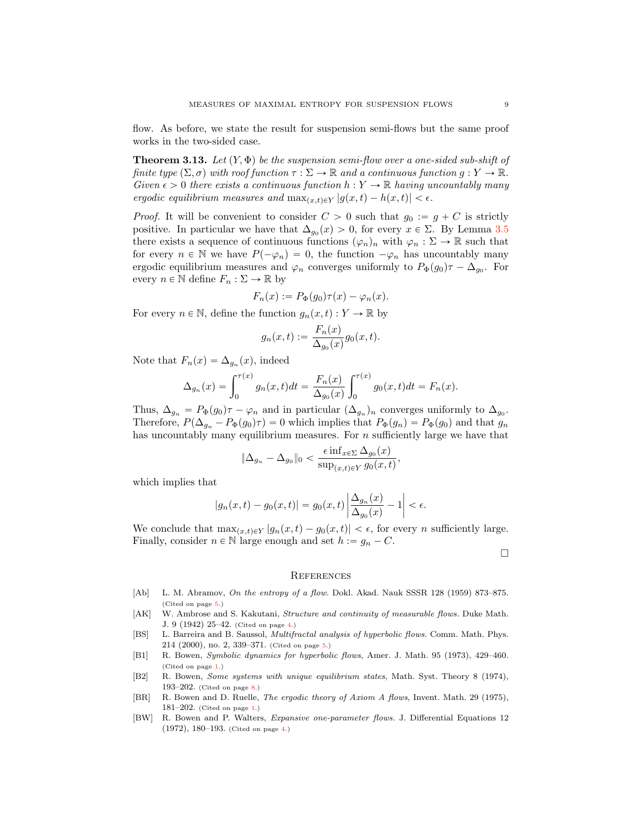flow. As before, we state the result for suspension semi-flows but the same proof works in the two-sided case.

<span id="page-8-2"></span>**Theorem 3.13.** Let  $(Y, \Phi)$  be the suspension semi-flow over a one-sided sub-shift of *finite type*  $(\Sigma, \sigma)$  *with roof function*  $\tau : \Sigma \to \mathbb{R}$  *and a continuous function*  $g : Y \to \mathbb{R}$ *. Given*  $\epsilon > 0$  *there exists a continuous function*  $h: Y \to \mathbb{R}$  *having uncountably many ergodic equilibrium measures and*  $\max_{(x,t)\in\mathcal{Y}} |g(x,t) - h(x,t)| < \epsilon$ .

*Proof.* It will be convenient to consider  $C > 0$  such that  $g_0 := g + C$  is strictly positive. In particular we have that  $\Delta_{g_0}(x) > 0$ , for every  $x \in \Sigma$ . By Lemma [3.5](#page-5-2) there exists a sequence of continuous functions  $(\varphi_n)_n$  with  $\varphi_n : \Sigma \to \mathbb{R}$  such that for every  $n \in \mathbb{N}$  we have  $P(-\varphi_n) = 0$ , the function  $-\varphi_n$  has uncountably many ergodic equilibrium measures and  $\varphi_n$  converges uniformly to  $P_{\Phi}(g_0)\tau - \Delta_{g_0}$ . For every  $n \in \mathbb{N}$  define  $F_n : \Sigma \to \mathbb{R}$  by

$$
F_n(x) := P_{\Phi}(g_0)\tau(x) - \varphi_n(x).
$$

For every  $n \in \mathbb{N}$ , define the function  $g_n(x, t) : Y \to \mathbb{R}$  by

$$
g_n(x,t) := \frac{F_n(x)}{\Delta_{g_0}(x)} g_0(x,t).
$$

Note that  $F_n(x) = \Delta_{g_n}(x)$ , indeed

$$
\Delta_{g_n}(x) = \int_0^{\tau(x)} g_n(x, t) dt = \frac{F_n(x)}{\Delta_{g_0}(x)} \int_0^{\tau(x)} g_0(x, t) dt = F_n(x).
$$

Thus,  $\Delta_{g_n} = P_{\Phi}(g_0)\tau - \varphi_n$  and in particular  $(\Delta_{g_n})_n$  converges uniformly to  $\Delta_{g_0}$ . Therefore,  $P(\Delta_{g_n} - P_{\Phi}(g_0)\tau) = 0$  which implies that  $P_{\Phi}(g_n) = P_{\Phi}(g_0)$  and that  $g_n$ has uncountably many equilibrium measures. For n sufficiently large we have that

$$
\|\Delta_{g_n} - \Delta_{g_0}\|_0 < \frac{\epsilon \inf_{x \in \Sigma} \Delta_{g_0}(x)}{\sup_{(x,t) \in Y} g_0(x,t)},
$$

which implies that

$$
|g_n(x,t) - g_0(x,t)| = g_0(x,t) \left| \frac{\Delta_{g_n}(x)}{\Delta_{g_0}(x)} - 1 \right| < \epsilon.
$$

We conclude that  $\max_{(x,t)\in Y} |g_n(x, t) - g_0(x, t)| < \epsilon$ , for every n sufficiently large. Finally, consider  $n \in \mathbb{N}$  large enough and set  $h := g_n - C$ .

 $\Box$ 

## **REFERENCES**

- <span id="page-8-5"></span>[Ab] L. M. Abramov, On the entropy of a flow. Dokl. Akad. Nauk SSSR 128 (1959) 873–875. (Cited on page [5.](#page-4-3))
- <span id="page-8-4"></span>[AK] W. Ambrose and S. Kakutani, *Structure and continuity of measurable flows*. Duke Math. J. 9 (1942) 25–42. (Cited on page [4.](#page-3-0))
- <span id="page-8-6"></span>[BS] L. Barreira and B. Saussol, Multifractal analysis of hyperbolic flows. Comm. Math. Phys. 214 (2000), no. 2, 339–371. (Cited on page [5.](#page-4-3))
- <span id="page-8-0"></span>[B1] R. Bowen, Symbolic dynamics for hyperbolic flows, Amer. J. Math. 95 (1973), 429–460. (Cited on page [1.](#page-0-0))
- <span id="page-8-7"></span>[B2] R. Bowen, Some systems with unique equilibrium states, Math. Syst. Theory 8 (1974), 193–202. (Cited on page [8.](#page-7-1))
- <span id="page-8-1"></span>[BR] R. Bowen and D. Ruelle, The ergodic theory of Axiom A flows, Invent. Math. 29 (1975), 181–202. (Cited on page [1.](#page-0-0))
- <span id="page-8-3"></span>[BW] R. Bowen and P. Walters, Expansive one-parameter flows. J. Differential Equations 12 (1972), 180–193. (Cited on page [4.](#page-3-0))